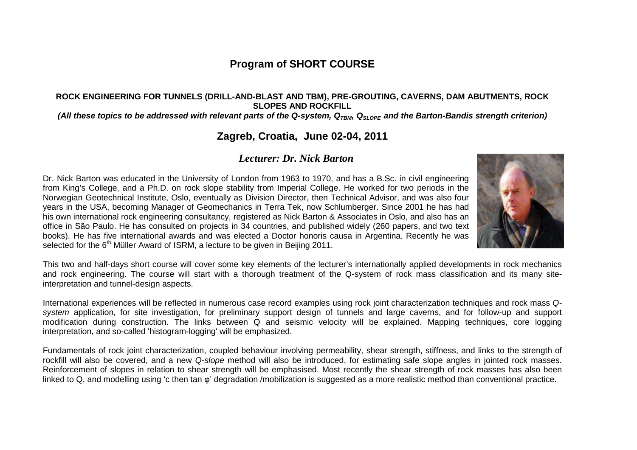# **Program of SHORT COURSE**

#### **ROCK ENGINEERING FOR TUNNELS (DRILL-AND-BLAST AND TBM), PRE-GROUTING, CAVERNS, DAM ABUTMENTS, ROCK SLOPES AND ROCKFILL**

#### (All these topics to be addressed with relevant parts of the Q-system, Q<sub>TBM</sub>, Q<sub>SLOPE</sub> and the Barton-Bandis strength criterion)

# **Zagreb, Croatia, June 02-04, 2011**

### *Lecturer: Dr. Nick Barton*

Dr. Nick Barton was educated in the University of London from 1963 to 1970, and has a B.Sc. in civil engineering from King's College, and a Ph.D. on rock slope stability from Imperial College. He worked for two periods in the Norwegian Geotechnical Institute, Oslo, eventually as Division Director, then Technical Advisor, and was also four years in the USA, becoming Manager of Geomechanics in Terra Tek, now Schlumberger. Since 2001 he has had his own international rock engineering consultancy, registered as Nick Barton & Associates in Oslo, and also has an office in São Paulo. He has consulted on projects in 34 countries, and published widely (260 papers, and two text books). He has five international awards and was elected a Doctor honoris causa in Argentina. Recently he was selected for the 6<sup>th</sup> Müller Award of ISRM, a lecture to be given in Beijing 2011.



This two and half-days short course will cover some key elements of the lecturer's internationally applied developments in rock mechanics and rock engineering. The course will start with a thorough treatment of the Q-system of rock mass classification and its many siteinterpretation and tunnel-design aspects.

International experiences will be reflected in numerous case record examples using rock joint characterization techniques and rock mass Qsystem application, for site investigation, for preliminary support design of tunnels and large caverns, and for follow-up and support modification during construction. The links between Q and seismic velocity will be explained. Mapping techniques, core logging interpretation, and so-called 'histogram-logging' will be emphasized.

Fundamentals of rock joint characterization, coupled behaviour involving permeability, shear strength, stiffness, and links to the strength of rockfill will also be covered, and a new Q-slope method will also be introduced, for estimating safe slope angles in jointed rock masses. Reinforcement of slopes in relation to shear strength will be emphasised. Most recently the shear strength of rock masses has also been linked to Q, and modelling using 'c then tan φ' degradation /mobilization is suggested as a more realistic method than conventional practice.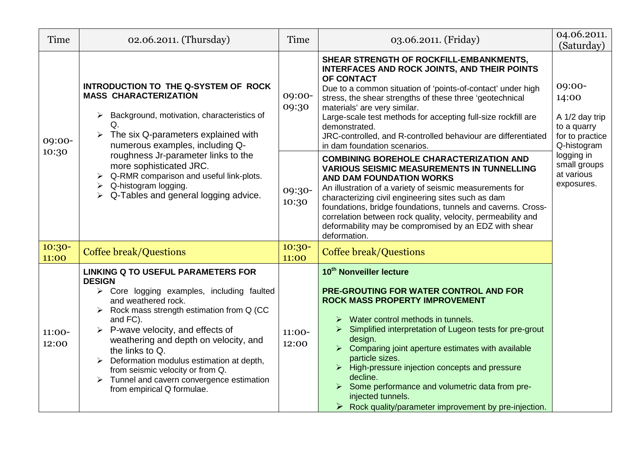| Time              | 02.06.2011. (Thursday)                                                                                                                                                                                                                                                                                                                                                                                                                                                                                                              | Time              | 03.06.2011. (Friday)                                                                                                                                                                                                                                                                                                                                                                                                                                                                                                                             | 04.06.2011.<br>(Saturday)                                                                                                                    |
|-------------------|-------------------------------------------------------------------------------------------------------------------------------------------------------------------------------------------------------------------------------------------------------------------------------------------------------------------------------------------------------------------------------------------------------------------------------------------------------------------------------------------------------------------------------------|-------------------|--------------------------------------------------------------------------------------------------------------------------------------------------------------------------------------------------------------------------------------------------------------------------------------------------------------------------------------------------------------------------------------------------------------------------------------------------------------------------------------------------------------------------------------------------|----------------------------------------------------------------------------------------------------------------------------------------------|
| 09:00-            | INTRODUCTION TO THE Q-SYSTEM OF ROCK<br><b>MASS CHARACTERIZATION</b><br>Background, motivation, characteristics of<br>$\blacktriangleright$<br>Q.<br>$\triangleright$ The six Q-parameters explained with<br>numerous examples, including Q-                                                                                                                                                                                                                                                                                        | 09:00-<br>09:30   | SHEAR STRENGTH OF ROCKFILL-EMBANKMENTS,<br><b>INTERFACES AND ROCK JOINTS, AND THEIR POINTS</b><br>OF CONTACT<br>Due to a common situation of 'points-of-contact' under high<br>stress, the shear strengths of these three 'geotechnical<br>materials' are very similar.<br>Large-scale test methods for accepting full-size rockfill are<br>demonstrated.<br>JRC-controlled, and R-controlled behaviour are differentiated<br>in dam foundation scenarios.                                                                                       | 09:00-<br>14:00<br>A 1/2 day trip<br>to a quarry<br>for to practice<br>Q-histogram<br>logging in<br>small groups<br>at various<br>exposures. |
| 10:30             | roughness Jr-parameter links to the<br>more sophisticated JRC.<br>Q-RMR comparison and useful link-plots.<br>Q-histogram logging.<br>Q-Tables and general logging advice.                                                                                                                                                                                                                                                                                                                                                           | 09:30-<br>10:30   | <b>COMBINING BOREHOLE CHARACTERIZATION AND</b><br><b>VARIOUS SEISMIC MEASUREMENTS IN TUNNELLING</b><br>AND DAM FOUNDATION WORKS<br>An illustration of a variety of seismic measurements for<br>characterizing civil engineering sites such as dam<br>foundations, bridge foundations, tunnels and caverns. Cross-<br>correlation between rock quality, velocity, permeability and<br>deformability may be compromised by an EDZ with shear<br>deformation.                                                                                       |                                                                                                                                              |
| $10:30-$<br>11:00 | <b>Coffee break/Questions</b>                                                                                                                                                                                                                                                                                                                                                                                                                                                                                                       | $10:30-$<br>11:00 | <b>Coffee break/Questions</b>                                                                                                                                                                                                                                                                                                                                                                                                                                                                                                                    |                                                                                                                                              |
| 11:00-<br>12:00   | <b>LINKING Q TO USEFUL PARAMETERS FOR</b><br><b>DESIGN</b><br>$\triangleright$ Core logging examples, including faulted<br>and weathered rock.<br>$\triangleright$ Rock mass strength estimation from Q (CC<br>and FC).<br>$\triangleright$ P-wave velocity, and effects of<br>weathering and depth on velocity, and<br>the links to Q.<br>$\triangleright$ Deformation modulus estimation at depth,<br>from seismic velocity or from Q.<br>$\triangleright$ Tunnel and cavern convergence estimation<br>from empirical Q formulae. | 11:00-<br>12:00   | 10 <sup>th</sup> Nonveiller lecture<br><b>PRE-GROUTING FOR WATER CONTROL AND FOR</b><br><b>ROCK MASS PROPERTY IMPROVEMENT</b><br>Water control methods in tunnels.<br>Simplified interpretation of Lugeon tests for pre-grout<br>design.<br>$\triangleright$ Comparing joint aperture estimates with available<br>particle sizes.<br>$\triangleright$ High-pressure injection concepts and pressure<br>decline.<br>> Some performance and volumetric data from pre-<br>injected tunnels.<br>Rock quality/parameter improvement by pre-injection. |                                                                                                                                              |